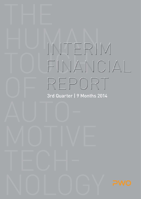# INTERIM FINANCIAL REPORT 3rd Quarter | 9 Months 2014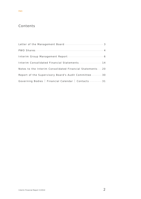# Contents

| Interim Consolidated Financial Statements 14              |
|-----------------------------------------------------------|
| Notes to the Interim Consolidated Financial Statements 20 |
| Report of the Supervisory Board's Audit Committee  30     |
| Governing Bodies   Financial Calendar   Contacts 31       |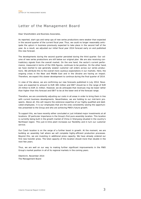# Letter of the Management Board

Dear Shareholders and Business Associates,

As reported, start-ups and ramp-ups of new series productions were weaker than expected in the second quarter of the current fiscal year. Thus, we could no longer reasonably anticipate the upturn in business previously expected to take place in the second half of the year. As a result, we adjusted our initial fiscal year 2014 forecast early on and published this new forecast.

The developments during the second quarter persisted during the third quarter. Our volume of new series productions are still below our original plan. We are also receiving contradictory signals from the overall market: On the one hand, the sector's current performance, measured in terms of the VDA figures, continues to be positive. On the other hand, we have started to see generally weaker customer call orders across our series productions. We attribute this to the overall more cautious expectations in our markets. Here, the ongoing crises in the Near and Middle East and in the Ukraine are having an impact. Therefore, we expect this slower development to continue during the final quarter of 2014.

In view of the above, we are confirming our new forecasts published in July 2014. Revenues are expected to amount to EUR 385 million and EBIT should be in the range of EUR 20 million to EUR 21 million. However, we do anticipate that revenues may be lower rather than higher than this forecast and EBIT to be at the lower end of the forecast range.

Therefore, we are consistently adjusting our costs in all areas in order to bring them in line with current business developments. Nevertheless, we are holding to our mid-term prospects. Above all, this will require the extensive expertise of our highly-qualified and dedicated employees. It is our employees that are the ones consistently seizing the opportunities presented to the Group and who are achieving PWO's future growth.

To support this, we have recently either concluded or just initiated major investments at all locations. Of particular importance is the Group's first pure assembly location. This location is currently being built in the growth market of China in Shenyang situated in the country's Northeast region. This just-in-time plant increases our flexibility and in turn our customer service.

Our Czech location is on the verge of a further boost in growth. At the moment, we are building an assembly hall where we will complete highly-efficient production processes. Beyond this, we are investing in additional press capacity. We have already ordered our first new transfer press. The total capacity of this location should more than double in the next few years.

Thus, we are well on our way to making further significant improvements in the PWO Group's market position in all of its regional markets in the coming years.

Oberkirch, November 2014 The Management Board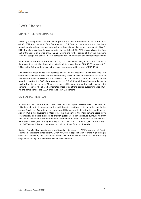# PWO Shares

# SHARE PRICE PERFORMANCE

Following a sharp rise in the PWO share price in the first three months of 2014 from EUR 43.90 (XETRA) at the start of the first quarter to EUR 56.82 at the quarter's end, the share traded largely sideways at an elevated price level during the second quarter. On May 5, 2014 the share reached its year-to-date high at EUR 58.20. PWO shares closed the first half of the year with a price of EUR 52.22. During the further course of the year, the share could not escape the general market correction caused by various geopolitical uncertainties.

As a result of the ad-hoc statement on July 21, 2014 announcing a revision in the 2014 fiscal year forecast, the share price initially fell to a year low of EUR 40.61 on August 8, 2014. In the following four weeks the share price recovered to a level of EUR 45-46.

This recovery phase ended with renewed overall market weakness. Since this time, the share has weakened further and has been trading below its level at the start of the year, in line with the overall market and the DAXsector Automobile sector index. At the end of the reporting quarter, the PWO share was quoted at EUR 42.03 and thus 4.3 percent below its level at the start of the year. Thus, the share slightly outperformed the sector index (–5.4 percent). However, the share has forfeited most of its strong earlier outperformance. During the same period, the SDAX price index lost 0.9 percent.

## CAPITAL MARKETS DAY

In what has become a tradition, PWO held another Capital Markets Day on October 9, 2014 in addition to its regular and in-depth investor relations contacts carried out in the current fiscal year. Analysts and investors used this opportunity to get a first-hand impression of PWO's headquarters in Oberkirch. The members of the Management Board gave presentations and were available to answer questions on current issues surrounding PWO and the development of the international automotive markets. In addition to the lectures, participants were given the opportunity to tour the plant in order to gain further insight into PWO's capabilities and the future technology of cold forming of metals.

Capital Markets Day guests were particularly interested in PWO's concept of "costoptimized lightweight construction". Given PWO's core capabilities in forming high-strength steels and aluminum, the Company is able to minimize its use of materials and processing steps while saving costs and resources at the same time.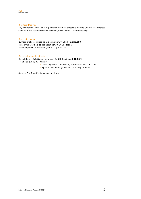

#### Directors' Dealings

Any notifications received are published on the Company's website under www.progresswerk.de in the section Investor Relations/PWO shares/Directors' Dealings.

#### Other information

Number of shares issued as at September 30, 2014 | **3,125,000** Treasury shares held as at September 30, 2014 | **None** Dividend per share for fiscal year 2013 | EUR **1.80** 

#### Current shareholder structure

Consult Invest Beteiligungsberatungs-GmbH, Böblingen | **46.55 %**  Free float: **53.45 %** | thereof

- › Delta Lloyd N.V., Amsterdam, the Netherlands: **17.01 %**
- › Sparkasse Offenburg/Ortenau, Offenburg: **5.88 %**

Source: WpHG notifications, own analyses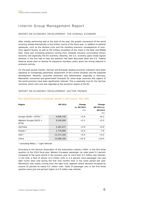# Interim Group Management Report

# REPORT ON ECONOMIC DEVELOPMENT: THE OVERALL ECONOMY

After initially performing well at the start of the year, the growth momentum of the world economy slowed dramatically in the further course of the fiscal year. In addition to political upheavals, such as the Ukraine crisis and the resulting economic consequences of sanctions against Russia, as well as the military escalation of the crises in the Near and Middle East, there was increasing pressure coming from renewed concerns surrounding China's economy and especially the EU economy. Recently, the U.S. economy gave mixed signals whereas in the first half of year the question had been discussed when the U.S. Federal Reserve would start to reverse its expansive monetary policy given the strong rebound in economic activity.

For the past several months, German and European leading economic indicators have been signaling an increasingly pessimistic assessment of the current situation and the expected development. Recently, consumer sentiment also deteriorated, especially in Germany. Meanwhile, economist and government forecasts for some large countries and regions of the world economy have been significantly reduced. This is especially true for the German economy, which until now was regarded as the economic engine of the EU.

# REPORT ON ECONOMIC DEVELOPMENT: SECTOR TRENDS

| Region                   | 9M 2014    | Change      | Change      |
|--------------------------|------------|-------------|-------------|
|                          |            | vs. 9M 2013 | 6M 2014 vs. |
|                          |            | $(\%)$      | 6M 2013     |
|                          |            |             | $(\%)$      |
| Europe (EU28 + EFTA) $1$ | 9,906,700  | $+5.8$      | $+6.2$      |
| Western Europe (EU15 +   | 9,240,000  | $+5.2$      | $+5.5$      |
| EFTA)                    |            |             |             |
| Germany                  | 2,281,671  | $+2.9$      | $+3.0$      |
| Russia $^{2)}$           | 1,779,900  | $-13.0$     | $-7.6$      |
| USA <sup>2</sup>         | 12,371,200 | $+5.4$      | $+4.2$      |
| China                    | 13,086,200 | $+12.8$     | $+14.5$     |

#### New registrations/sales of passenger vehicles in units (source: VDA, KBA)

<sup>1)</sup> excluding Malta  $|^{2}$  Light Vehicles

According to the German Association of the Automotive Industry (VDA), in the first three quarters of the 2014 fiscal year, Western European passenger car sales grew 5.2 percent compared to the same period in the previous year to more than 9.2 million new vehicles. In the USA, a total of almost 12.4 million units or 5.4 percent more passenger cars and light trucks were sold during the first nine months than in the same period last year. Momentum was mainly coming from the light truck segment where demand increased by around 10 percent to nearly 6.5 million units. Sales of passenger cars in the first three quarters were just one percent higher at 5.9 million new vehicles.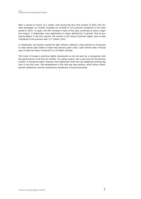With a volume of nearly 13.1 million units during the first nine months of 2014, the Chinese passenger car market recorded an increase of 12.8 percent compared to the same period in 2013. In Japan, the VAT increase in April of this year, continued to have a negative impact: in September, new registrations in Japan declined by 3 percent. Due to prebuying effects in the first quarter, the market is still nearly 6 percent higher year-to-date compared to the previous year (3.7 million units).

In September, the Russian market for light vehicles suffered a sharp decline of 20 percent as new-vehicle sales failed to match the previous year's level. Light vehicle sales in Russia year-to-date are down 13 percent to 1.8 million vehicles.

The trend in Europe is pointing slightly downwards as can be seen by a comparison with the performance in the first six months. To a lesser extent, this is also true for the German market. It should be noted, however, that September 2014 had one additional working day than in the prior year. The development in the USA was also positive, while China's development weakened, and the recessionary tendencies in Russia worsened.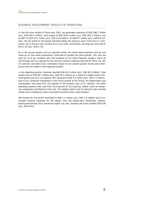## BUSINESS DEVELOPMENT: RESULTS OF OPERATIONS

In the first nine months of fiscal year 2014, we generated revenues of EUR 286.7 million (p/y: EUR 284.7 million), total output of EUR 295.6 million (p/y: EUR 292.3 million), and an EBIT of EUR 14.7 million (p/y: EUR 15.8 million). At EUR 6.7 million (p/y: EUR 8.6 million), the net profit for the period remained below the previous year's level due to a temporary rise in the tax rate resulting from a tax audit. Accordingly, earnings per share fell to EUR 2.16 (p/y: EUR 2.74).

As in the second quarter and as reported earlier, the slower-than-expected start-up and ramp-up of new series productions continued to burden the third quarter. This was the case for all of our locations with the exception of our Czech Republic location. Since we had already built up capacity for the revenue volumes originally planned for 2014, the lack of customer call orders had a noticeable impact on our second quarter results and continued to have an impact in the reporting quarter.

In the reporting quarter, revenues reached EUR 92.0 million (p/y: EUR 93.0 million). Total output rose to EUR 96.7 million (p/y: EUR 94.2 million) as a result of a higher level in finished goods and work-in-progress. EBIT declined to EUR 4.0 million (p/y: EUR 4.7 million). Due to our continued investment in the future growth of the Group, the depreciation and amortization ratio grew from 5.6 percent in the previous year to 5.7 percent. The other operating expense ratio rose from 10.0 percent to 10.5 percent. Higher costs for temporary employees contributed to this rise. The slightly higher cost of materials ratio resulted mainly from a temporary rise in third-party services at our Czech location.

Net income for the period amounted to EUR 1.2 million (p/y: EUR 2.6 million) due to increased financial expenses for the higher, and now longer-term refinanced, interestbearing borrowings and a temporary higher tax rate. Earnings per share totaled EUR 0.40 (p/y: EUR 0.82).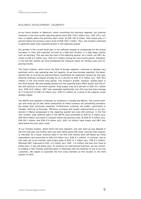# BUSINESS DEVELOPMENT: SEGMENTS

At our home location in Oberkirch, which constitutes the Germany segment, our external revenues in the nine-month reporting period were EUR 179.5 million (p/y: EUR 179.1 million) or slightly above the previous year's level. At EUR 191.9 million, total output was 1.7 percent below the previous year's level of EUR 195.2 million. Thus, this location continued to generate lower-than-expected growth in the reporting quarter.

Our growth in the current fiscal year is not sufficient enough to compensate for the annual increases in costs and expenses incurred at a high-tech location in a high-wage country such as Germany. This was also the case in the reporting quarter. As a result, our EBIT declined to EUR 9.3 million (p/y: EUR 10.2 million) during the nine-month period. Therefore, in the last few months we have broadened the measures taken for limiting costs and improving results.

The Czech location, which forms the Rest of Europe segment, continues to develop very positively and is now operating near full capacity. As we have already reported, this development led us to bring our planned future investments for expansion forward by one year. External revenues increased strongly by 21.5 percent to EUR 37.0 million (p/y: EUR 30.4 million) in the nine-month time period. This location's growth, however, slowed down in the third quarter. We had already pointed out the expected basis effect earlier and this effect will continue in the fourth quarter. Total output rose 26.9 percent to EUR 43.1 million (p/y: EUR 34.0 million). EBIT also expanded significantly, but still rose less-than-average at 17.9 percent to EUR 5.0 million (p/y: EUR 4.2 million) as a result of the capacity issues already stated.

The NAFTA area segment comprises our locations in Canada and Mexico. The current startups and ramp-ups of new series productions at these locations are proceeding considerably slower than previously expected. Furthermore, customer call orders, particularly in Canada, continue to fluctuate. Efficiency increases and quality improvements in our production in Mexico progressed in the reporting quarter but must still continue. In the first nine months, total external sales in the NAFTA Area amounted to EUR 61.4 million (p/y: EUR 66.9 million) and were 8.2 percent below the previous year. At EUR 61.4 million (p/y: EUR 69.1 million) and EUR 0.9 million (p/y: EUR 2.8 million) total output and EBIT also were below the prior year's level.

At our Chinese location, which forms the Asia segment, one new start-up was delayed in the first half-year and further start-ups have taken place with lower volumes than originally indicated. As a result, external sales in the first nine months were still below our initial expectations and amounted to EUR 8.8 million (p/y: EUR 8.1 million). In contrast, due to tool sales yet to be invoiced, total output grew to EUR 11.7 million (p/y: EUR 9.1 million). Although EBIT improved to EUR –0.3 million ( $p/y$ : EUR –1.6 million) and was thus close to break-even, it was still below plan. To reinforce our international business, we are currently building a new Chinese assembly plant in Shenyang near the factories of one of our key customers. We expect to assemble the first cross-members at this location in the third quarter of 2015.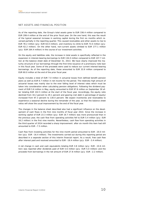# NET ASSETS AND FINANCIAL POSITION

As of the reporting date, the Group's total assets grew to EUR 336.4 million compared to EUR 299.4 million at the end of the prior fiscal year. On the one hand, this was the result of the typical seasonal increase in working capital during the first six months which reversed partially in the reporting quarter. This caused receivables and other assets to rise to EUR 78.2 million (p/y: EUR 63.0 million), and inventory to climb to EUR 73.0 million (p/y: EUR 62.2 million). On the other hand, non-current assets climbed to EUR 177.1 million (p/y: EUR 164.4 million) in the course of our investment activities.

On the equity and liabilities side, the increase in total assets is specifically reflected in the expansion in interest-bearing borrowings to EUR 134.0 million compared to EUR 107.7 million at the balance sheet date of December 31, 2013. We have clearly improved the maturity structure of our borrowings through the first-time issuance of a promissory note loan in this fiscal year. Some of the proceeds were used to reduce our current interest-bearing borrowings. As of the reporting date, these amounted to EUR 33.9 million compared to EUR 60.0 million at the end of the prior fiscal year.

Equity includes a total of EUR 7.0 million in actuarial losses from defined benefit pension plans as well as EUR 6.7 million in net income for the period. The relatively high amount of actuarial losses was mainly due to the ever falling level of interest rates which must be taken into consideration when calculating pension obligations. Following the dividend payment of EUR 5.6 million in May, equity amounted to EUR 97.8 million on September 30 after totaling EUR 102.5 million at the start of the fiscal year. Accordingly, the equity ratio declined from 34.2 percent to 29.1 percent and gearing (net debt in percentage of equity) increased from 97.3 percent to 130.0 percent. We expect inventories and receivables to experience a seasonal decline during the remainder of the year, so that the balance sheet ratios will show the usual improvement by the end of the fiscal year.

The changes in the balance sheet described also had a significant influence on the development of cash flows in the first nine months of fiscal year 2014. Since the increase in working capital of EUR 23.3 million (p/y: EUR 19.7 million) was more pronounced than in the previous year, the cash flow from operating activities fell to EUR 5.4 million (p/y: EUR 16.2 million) in the first nine months. Nevertheless, cash flow from operating activities in the third quarter of 2014 recorded a sharp improvement: after six month this item had still amounted to EUR –7.5 million.

Cash flow from investing activities for the nine month period amounted to EUR –20.0 million (p/y: EUR –16.4 million). The investments carried out during this reporting period are described in a separate section of this interim financial report. As a result, free cash flow after interest paid and received amounted to EUR –18.4 million (p/y: EUR –3.4 million).

A net change in cash and cash equivalents totaling EUR 3.8 million (p/y: EUR –10.6 million) was reported after dividends paid of EUR 5.6 million (p/y: EUR 5.0 million) and the proceeds from borrowings in the net amount of EUR 27.8 million (p/y: EUR –2.2 million).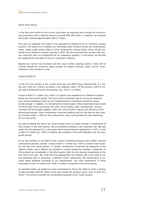### NEW BUSINESS

In the first nine months of the current fiscal year, we acquired new contracts for future series productions with a lifetime volume of around EUR 205 million. In addition, we received tool orders totaling approximately EUR 17 million.

This year, as expected, the orders to be awarded are tending to be for numerous smaller projects. This allows us to maintain our diversified order structure across our three product areas. Larger single orders relate to drive components, among others, which will be produced at our Oberkirch location starting in 2016. We also had particular success with various customers with our components for air suspension systems. In the future, we will also be supplying the new plant of one our customers in Mexico.

Beyond our current new business and the usual smaller ongoing projects, there will be contract awards for numerous larger projects for engine housings, seats, and for crossmembers in the months to come.

#### INVESTMENTS

In the first nine months of the current fiscal year, the PWO Group invested EUR 21.3 million (p/y: EUR 22.1 million) as shown in our segment report. Of this amount, EUR 8.5 million was invested during the third quarter (p/y: EUR 11.2 million).

A total of EUR 11.1 million (p/y: EUR 11.9 million) was invested at our Oberkirch location during the nine-month period. The focus of this investment was on structural measures such as tool warehouse where we are implementing an innovative concept for spacesaving storage. In addition, by relocating the entrance gate, initial preparations were made for the Process House to be built next year. At this facility, sales, development, and procurement will be brought together under one roof to further improve the efficiency of the operating processes. Other investments concerned welding cells for the start-up and rampup of series orders, a 450-ton fine cutting press, and a turning lathe for hard machining for our tool center.

Our plan to double the size of our Czech location led to a visible increase in investments at that location in the third quarter. We are presently building a new assembly hall. We also made the first payment for a new press which should become operational in 2015. A total of EUR 3.5 million (p/y: EUR 2.4 million) was invested in the Czech Republic over the ninemonth period.

At our two locations in the NAFTA area, various investment projects with smaller volumes continued as planned. Overall, a total of EUR 4.7 million (p/y: EUR 5.3 million) was invested over the nine month period. In Canada, investments concerned the expansion of the logistics center, and in Mexico we invested in various production facilities. Investment in China picked up considerably in the third quarter after the low volumes experienced in the first half of the year. We made the first prepayments for welding cells to be used at our new assembly plant in Shenyang, in Northern China. Additionally, the rented space is currently being designed according to our specifications. Our total investments in China amounted to EUR 2.0 million (p/y: EUR 2.6 million) during the nine-month period.

As reported earlier, we expect our total investments in fiscal year 2014 to reach a volume of approximately EUR 40 million which will exceed the previous year's level of EUR 32.0 million. This amount includes the accelerated expansion of our Czech location.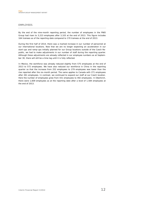## EMPLOYEES

By the end of the nine-month reporting period, the number of employees in the PWO Group had risen to 3,223 employees after 3,103 at the end of 2013. This figure includes 164 trainees as of the reporting date compared to 170 trainees at the end of 2013.

During the first half of 2014, there was a marked increase in our number of personnel at our international locations. Now that we are no longer expecting an acceleration in our start-ups and ramp-ups initially planned for our Group locations outside of the Czech Republic, we had to make adjustments in our number of staff during the reporting quarter. Although these adjustments are already reflected in our employee numbers as at September 30, there will still be a time lag until it is fully reflected.

In Mexico, the workforce was already reduced slightly from 575 employees at the end of 2013 to 572 employees. We have also reduced our workforce in China in the reporting quarter so that the increase from 252 employees to 279 employees was lower than the rise reported after the six-month period. The same applies to Canada with 271 employees after 261 employees. In contrast, we continued to expand our staff at our Czech location. Here the number of employees grew from 431 employees to 492 employees. In Oberkirch, there were 1,609 employees as at the reporting date after a level of 1,584 employees at the end of 2013.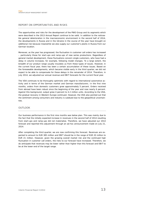# REPORT ON OPPORTUNITIES AND RISKS

The opportunities and risks for the development of the PWO Group and its segments which were described in the 2013 Annual Report continue to be valid. In addition to the noticeable general deterioration in the macroeconomic environment in the second half of 2014, the developments in Russia and in the Ukraine in the course of the year have brought on additional risk because meanwhile we also supply our customer's plants in Russia from our German location.

Moreover, as the year has progressed, the fluctuation in customer call orders has increased – particularly those for start-ups and ramp-ups of new series productions. Regardless of general market development, these fluctuations concern single customers, who have had a delay in volume increases, for example, following model changes. To a large extent, the breadth of our product range usually insulates us from these types of issues. However, in the current fiscal year, there has been a certain accumulation of these issues. Based on the foreseeable developments, which became visible early in the third quarter, we did not expect to be able to compensate for these delays in the remainder of 2014. Therefore, in July 2014, we adjusted our annual revenue and EBIT forecasts for the current fiscal year.

The VDA continues to be thoroughly optimistic with regard to international automotive activity and in terms of the German market and German manufacturers. In the first nine months, orders from domestic customers grew approximately 5 percent. Orders received from abroad have been robust since the beginning of the year and rose nearly 6 percent. Against this background, output grew 4 percent to 4.2 million units. According to the VDA, the gradual recovery in Western Europe continued. However, the VDA also pointed out that the sentiment among consumers and industry is subdued due to the geopolitical uncertainties.

## **OUTLOOK**

Our business performance in the first nine months was below plan. This was mainly due to the fact that the initially expected increase in revenues in the second half of 2014 resulting from start-ups and ramp-ups did not materialize. Therefore, we have adjusted our 2014 forecast and reported this adjustment through an ad-hoc announcement made on July 21, 2014.

After completing the third quarter, we are now confirming this forecast. Revenues are expected to amount to EUR 385 million and EBIT should be in the range of EUR 20 million to EUR 21 million. However, given the growing overall market risk and the continued high fluctuation in customer call orders, the risks to our forecast have increased. Therefore, we do anticipate that revenues may be lower rather than higher than this forecast and EBIT to be at the lower end of the target range.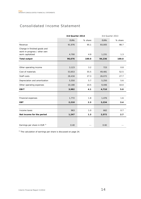# Consolidated Income Statement

|                                         | 3rd Quarter 2014 |         | 3rd Quarter 2013 |         |
|-----------------------------------------|------------------|---------|------------------|---------|
|                                         | <b>EURK</b>      | % share | <b>EURK</b>      | % share |
| Revenue                                 | 91,976           | 95.1    | 93,005           | 98.7    |
| Change in finished goods and            |                  |         |                  |         |
| work-in-progress / other own            |                  |         |                  |         |
| work capitalized                        | 4,700            | 4.9     | 1,231            | 1.3     |
| <b>Total output</b>                     | 96,676           | 100.0   | 94,236           | 100.0   |
|                                         |                  |         |                  |         |
| Other operating income                  | 3,123            | 3.2     | 723              | 0.8     |
| Cost of materials                       | 53,653           | 55.5    | 49,481           | 52.5    |
| Staff costs                             | 26,434           | 27.3    | 26,072           | 27.7    |
| Depreciation and amortization           | 5,550            | 5.7     | 5,250            | 5.6     |
| Other operating expenses                | 10,180           | 10.5    | 9,446            | 10.0    |
| <b>EBIT</b>                             | 3,982            | 4.1     | 4,710            | 5.0     |
|                                         |                  |         |                  |         |
| Financial expenses                      | 1,772            | 1.8     | 1,476            | 1.6     |
| <b>EBT</b>                              | 2,210            | 2.3     | 3,234            | 3.4     |
|                                         |                  |         |                  |         |
| Income taxes                            | 963              | 1.0     | 662              | 0.7     |
| Net income for the period               | 1,247            | 1.3     | 2,572            | 2.7     |
|                                         |                  |         |                  |         |
| Earnings per share in EUR <sup>1)</sup> | 0.40             |         | 0.82             |         |

<sup>1)</sup> The calculation of earnings per share is discussed on page 24.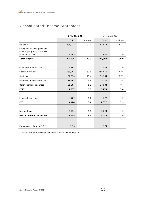# Consolidated Income Statement

|                                                  | 9 Months 2014 |         | 9 Months 2013 |         |
|--------------------------------------------------|---------------|---------|---------------|---------|
|                                                  | <b>EURK</b>   | % share | <b>EURK</b>   | % share |
| Revenue                                          | 286,723       | 97.0    | 284,654       | 97.4    |
| Change in finished goods and                     |               |         |               |         |
| work-in-progress / other own<br>work capitalized | 8,883         | 3.0     | 7,648         | 2.6     |
|                                                  |               |         |               |         |
| <b>Total output</b>                              | 295,606       | 100.0   | 292,302       | 100.0   |
|                                                  |               |         |               |         |
| Other operating income                           | 4,962         | 1.7     | 2,944         | 1.0     |
| Cost of materials                                | 159,065       | 53.8    | 156,618       | 53.6    |
| Staff costs                                      | 80,914        | 27.4    | 79,564        | 27.2    |
| Depreciation and amortization                    | 16,565        | 5.6     | 15,726        | 5.4     |
| Other operating expenses                         | 29,287        | 9.9     | 27,584        | 9.4     |
| <b>EBIT</b>                                      | 14,737        | 5.0     | 15,754        | 5.4     |
|                                                  |               |         |               |         |
| Financial expenses                               | 4,767         | 1.6     | 4,377         | 1.5     |
| <b>EBT</b>                                       | 9,970         | 3.4     | 11,377        | 3.9     |
|                                                  |               |         |               |         |
| Income taxes                                     | 3,235         | 1.1     | 2,824         | 1.0     |
| Net income for the period                        | 6,735         | 2.3     | 8,553         | 2.9     |
|                                                  |               |         |               |         |
| Earnings per share in EUR <sup>1)</sup>          | 2.16          |         | 2.74          |         |
|                                                  |               |         |               |         |

 $1)$  The calculation of earnings per share is discussed on page 24.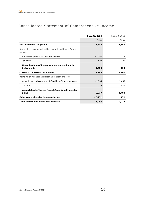# Consolidated Statement of Comprehensive Income

|                                                                         | Sep. 30, 2014 | Sep. 30, 2013 |
|-------------------------------------------------------------------------|---------------|---------------|
|                                                                         | <b>EURK</b>   | <b>EURK</b>   |
| Net income for the period                                               | 6,735         | 8,553         |
| Items which may be reclassified to profit and loss in future<br>periods |               |               |
| Net losses/gains from cash flow hedges                                  | $-2,340$      | 279           |
| Tax effect                                                              | 682           | $-89$         |
| Unrealized gains/losses from derivative financial                       |               |               |
| instruments                                                             | $-1,658$      | 190           |
| <b>Currency translation differences</b>                                 | 2,906         | $-1,207$      |
| Items which will not be reclassified to profit and loss                 |               |               |
| Actuarial gains/losses from defined benefit pension plans               | $-9,704$      | 2,069         |
| Tax effect                                                              | 2,725         | $-581$        |
| Actuarial gains/losses from defined benefit pension                     |               |               |
| plans                                                                   | $-6,979$      | 1,488         |
| Other comprehensive income after tax                                    | $-5,731$      | 471           |
| Total comprehensive income after tax                                    | 1,004         | 9,024         |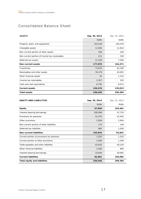# Consolidated Balance Sheet

| <b>ASSETS</b>                                 | Sep. 30, 2014 | Dec. 31, 2013 |
|-----------------------------------------------|---------------|---------------|
|                                               | <b>EURK</b>   | <b>EURK</b>   |
| Property, plant, and equipment                | 153,539       | 144,470       |
| Intangible assets                             | 11,926        | 11,814        |
| Non-current portion of other assets           | 164           | 164           |
| Non-current portion of income tax receivables | 211           | 330           |
| Deferred tax assets                           | 11,230        | 7,593         |
| <b>Non-current assets</b>                     | 177,070       | 164,371       |
| Inventories                                   | 73,010        | 62,184        |
| Receivables and other assets                  | 78,179        | 63,001        |
| Other financial assets                        | 35            | 1,232         |
| Income tax receivables                        | 1,357         | 525           |
| Cash and cash equivalents                     | 6,795         | 8,071         |
| <b>Current assets</b>                         | 159,376       | 135,013       |
| <b>Total assets</b>                           | 336,446       | 299,384       |

| <b>EQUITY AND LIABILITIES</b>              | Sep. 30, 2014 | Dec. 31, 2013 |
|--------------------------------------------|---------------|---------------|
|                                            | <b>EURK</b>   | <b>EURK</b>   |
| Equity                                     | 97,840        | 102,461       |
| Interest-bearing borrowings                | 100,096       | 47,735        |
| Provisions for pensions                    | 51,474        | 41,002        |
| Other provisions                           | 2,939         | 2,904         |
| Non-current portion of other liabilities   | 173           | 144           |
| Deferred tax liabilities                   | 963           | 1,056         |
| <b>Non-current liabilities</b>             | 155,645       | 92,841        |
| Current portion of provisions for pensions | 1,525         | 1,525         |
| Current portion of other provisions        | 1,594         | 1,546         |
| Trade payables and other liabilities       | 42,625        | 40,155        |
| Other financial liabilities                | 3,283         | 865           |
| Interest-bearing borrowings                | 33,934        | 59,991        |
| <b>Current liabilities</b>                 | 82,961        | 104,082       |
| Total equity and liabilities               | 336,446       | 299,384       |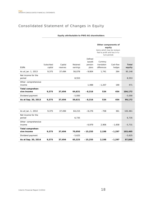# Consolidated Statement of Changes in Equity

## **Equity attributable to PWO AG shareholders**

|                                 |                       |                     |                      |                                        | Other components of<br>equity<br>items which may be reclassi-<br>fied to profit and loss in fu-<br>ture periods |                     |                        |
|---------------------------------|-----------------------|---------------------|----------------------|----------------------------------------|-----------------------------------------------------------------------------------------------------------------|---------------------|------------------------|
| <b>EURK</b>                     | Subscribed<br>capital | Capital<br>reserves | Retained<br>earnings | Defined<br>benefit<br>pension<br>plans | Currency<br>translation<br>differences                                                                          | Cash flow<br>hedges | <b>Total</b><br>equity |
| As at Jan. 1, 2013              | 9,375                 | 37,494              | 56,078               | $-9,804$                               | 1,741                                                                                                           | 264                 | 95,148                 |
| Net income for the<br>period    |                       |                     | 8,553                |                                        |                                                                                                                 |                     | 8,553                  |
| Other comprehensive<br>income   |                       |                     |                      | 1,488                                  | $-1,207$                                                                                                        | 190                 | 471                    |
| Total comprehen-<br>sive income | 9,375                 | 37,494              | 64,631               | $-8,316$                               | 534                                                                                                             | 454                 | 104,172                |
| Dividend payment                |                       |                     | $-5,000$             |                                        |                                                                                                                 |                     | $-5,000$               |
| As at Sep. 30, 2013             | 9,375                 | 37,494              | 59,631               | $-8,316$                               | 534                                                                                                             | 454                 | 99,172                 |
|                                 |                       |                     |                      |                                        |                                                                                                                 |                     |                        |
| As at Jan. 1, 2014              | 9,375                 | 37,494              | 64,215               | $-8,276$                               | $-708$                                                                                                          | 361                 | 102,461                |
| Net income for the<br>period    |                       |                     | 6,735                |                                        |                                                                                                                 |                     | 6,735                  |
| Other comprehensive<br>income   |                       |                     |                      | $-6,979$                               | 2,906                                                                                                           | $-1,658$            | $-5,731$               |
| Total comprehen-<br>sive income | 9,375                 | 37,494              | 70,950               | $-15,255$                              | 2,198                                                                                                           | $-1,297$            | 103,465                |
| Dividend payment                |                       |                     | $-5,625$             |                                        |                                                                                                                 |                     | $-5,625$               |
| As at Sep. 30, 2014             | 9,375                 | 37,494              | 65,325               | $-15,255$                              | 2,198                                                                                                           | $-1,297$            | 97,840                 |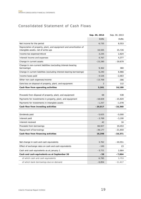# Consolidated Statement of Cash Flows

|                                                                              | Sep. 30, 2014 | Sep. 30, 2013 |
|------------------------------------------------------------------------------|---------------|---------------|
|                                                                              | <b>EURK</b>   | <b>EURK</b>   |
| Net income for the period                                                    | 6,735         | 8,553         |
| Depreciation of property, plant, and equipment and amortization of           |               |               |
| intangible assets, net of write-ups                                          | 16,565        | 15,726        |
| Income tax expense/refund                                                    | 3,235         | 2,824         |
| Interest income and expenses                                                 | 4,767         | 4,377         |
| Change in current assets                                                     | $-23,290$     | $-19,679$     |
| Change in non-current liabilities (excluding interest-bearing<br>borrowings) | 9,362         | 360           |
| Change in current liabilities (excluding interest-bearing borrowings)        | 6,240         | 6,966         |
| Income taxes paid                                                            | $-4,526$      | $-2,663$      |
| Other non-cash expenses/income                                               | $-13,709$     | $-396$        |
| Gain/loss on disposal of property, plant, and equipment                      | 2             | 112           |
| Cash flow from operating activities                                          | 5,381         | 16,180        |
|                                                                              |               |               |
| Proceeds from disposal of property, plant, and equipment                     | 68            | 538           |
| Payments for investments in property, plant, and equipment                   | $-18,828$     | $-15,820$     |
| Payments for investments in intangible assets                                | $-1,257$      | $-1,078$      |
| Cash flow from investing activities                                          | $-20,017$     | $-16,360$     |
|                                                                              |               |               |
| Dividends paid                                                               | $-5,625$      | $-5,000$      |
| Interest paid                                                                | $-3,769$      | $-3,190$      |
| Interest received                                                            | 42            | 16            |
| Proceeds from borrowings                                                     | 66,927        | 19,453        |
| Repayment of borrowings                                                      | $-39,177$     | $-21,650$     |
| Cash flow from financing activities                                          | 18,398        | $-10,371$     |
|                                                                              |               |               |
| Net change in cash and cash equivalents                                      | 3,762         | $-10,551$     |
| Effect of exchange rates on cash and cash equivalents                        | $-100$        | 23            |
| Cash and cash equivalents as at January 1                                    | $-3,721$      | 2,664         |
| Cash and cash equivalents as at September 30                                 | -59           | $-7,864$      |
| of which cash and cash equivalents                                           | 6,795         | 3,753         |
| of which bank borrowings due on demand                                       | $-6,854$      | $-11,617$     |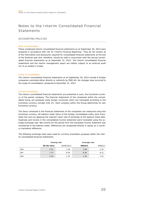# Notes to the Interim Consolidated Financial **Statements**

## ACCOUNTING POLICIES

#### Basis of presentation

These condensed interim consolidated financial statements as at September 30, 2014 were prepared in accordance with IAS 34 "Interim Financial Reporting". They do not contain all of the information and disclosures required for consolidated financial statements at the end of the financial year and, therefore, should be read in conjunction with the annual consolidated financial statements as at December 31, 2013. The interim consolidated financial statements and the interim management report are neither subject to an external audit nor to an auditor's review.

#### Scope of consolidation

The interim consolidated financial statements as at September 30, 2014 include 6 foreign companies controlled either directly or indirectly by PWO AG. No changes have occurred to the scope of consolidation compared to December 31, 2013.

#### Currency translation

The interim consolidated financial statements are presented in euro, the functional currency of the parent company. The financial statements of the companies within the consolidated Group are prepared using foreign currencies which are translated according to the functional currency concept (IAS 21). Each company within the Group determines its own functional currency.

The items contained in the financial statements of the companies are measured using this functional currency. All balance sheet items of the foreign consolidated entity were translated into euro by applying the relevant mean rate of exchange at the balance sheet date. Expenses and income in the consolidated income statement were translated using the average exchange rate. Net income for the period from the translated income statement was transferred to the balance sheet. Differences are recognized directly in equity as a currency translation difference.

The following exchange rates were used for currency translation purposes within the interim consolidated financial statements:

|            |            | Closing rate | Average rate |        |
|------------|------------|--------------|--------------|--------|
|            | 30/09/2014 | 30/09/2013   | 9M2014       | 9M2013 |
| CAD        | 1.41       | 1.39         | 1.48         | 1.35   |
| <b>CNY</b> | 7.73       | 8.26         | 8.36         | 8.12   |
| <b>USD</b> | 1.26       | 1.35         | 1.36         | 1.32   |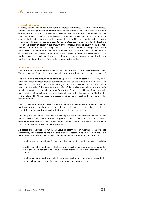#### Financial instruments

Currency-related derivatives in the form of interest-rate swaps, foreign exchange swaps, options, and foreign exchange forward contracts are carried at fair value both at the time of purchase and as part of subsequent measurement. In the case of derivative financial instruments which do not fulfill the criteria of a hedging transaction, gains or losses from changes in the fair value are reported immediately in profit or loss. Market value changes of derivative financial instruments used to hedge future cash flows (cash flow hedges) are recognized directly in equity in the amount of the effective share of equity, while the ineffective share is immediately recognized in profit or loss. When the hedged transaction takes place, the derivative is transferred from equity to profit and loss. The fair value of exchange listed derivatives corresponds to the positive or negative market value. If no market values are available, these are calculated using recognized actuarial valuation models, e.g. discounted cash flow model or option price model.

#### Measurement of fair value

The Group measures derivative financial instruments at fair value at each reporting date. The fair values of financial instruments carried at amortized cost are presented on page 27.

The fair value is the amount to be achieved upon the sale of an asset in an orderly business transaction between market participants on the valuation date or the amount to be paid for the transfer of a liability. Measuring the fair value assumes that the transaction leading to the sale of the asset or the transfer of the liability takes place on the asset's principal market or the principal market for the transfer of the liability or, if such a principal market is not available, on the most favorable market for the asset or for the transfer of the liability. The Group must have access to either the principal market or the most favorable market.

The fair value of an asset or liability is determined on the basis of assumptions that market participants would take into consideration in the pricing of the asset or liability. It is assumed that market participants act in their own best economic interest.

The Group uses valuation techniques that are appropriate for the respective circumstances and for which sufficient data for measuring the fair value are available. The use of relevant, observable input factors should be kept as high as possible and the use of unobservable input factors should be kept as low as possible.

All assets and liabilities, for which fair value is determined or reported in the financial statements, are allocated to the fair value hierarchy described below based on the input parameters of the lowest level relevant for the overall measurement of the fair value:

- Level 1 Quoted (unadjusted) prices in active markets for identical assets or liabilities.
- Level 2 Valuation methods in which the lowest level of input parameters essential for the overall measurement at fair value is either directly or indirectly observable on the market.
- Level 3 Valuation methods in which the lowest level of input parameters essential for the overall measurement at fair value is not observable on the market.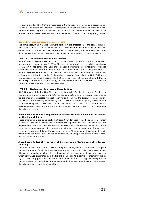For assets and liabilities that are recognized in the financial statements on a recurring basis, the Group determines whether reclassifications between the hierarchy levels have taken place by reviewing the classification (based on the input parameters of the lowest level relevant for the overall measurement of the fair value) at the end of each reporting period.

#### New and amended standards and interpretations

The same accounting methods that were applied in the preparation of the consolidated financial statements as at December 31, 2013 were used in the preparation of the condensed interim consolidated financial statements. The following standards and interpretations that were applied as of January 1, 2014 form an exception to this basic principle:

#### **IFRS 10 – Consolidated Financial Statements**

IFRS 10 was published in May 2011 and is to be applied for the first time to fiscal years beginning on or after January 1, 2014. The new standard replaces the existing provisions of IAS 27 Consolidated and Separate Financial Statements for consolidated financial statements and the interpretations of SIC-12 Consolidation – Special Purpose Entities. IFRS 10 established a unified control concept, which applies to all entities, including special purpose entities. In June 2012, the revised transitional provisions to IFRS 10-12 were also published and should facilitate the first-time application of the new standard. Due to the transparent structure of the Group, the amendments introduced by IFRS 10 have no impact on the consolidated financial statements.

#### **IFRS 12 – Disclosure of Interests in Other Entities**

IFRS 12 was published in May 2011 and is to be applied for the first time to fiscal years beginning on or after January 1, 2014. This standard sets uniform disclosure requirements for the area of consolidated financial reporting and combines the disclosures on subsidiaries, which were previously governed by IAS 27, the disclosures for jointly controlled and associated companies, which was thus far included in IAS 31 and IAS 28, and for structured companies. The application of the new standard had no impact on the consolidated financial statements.

#### **Amendments to IAS 36 – Impairment of Assets: Recoverable Amount Disclosures for Non-Financial Assets**

These amendments are to be applied retrospectively for fiscal years beginning on or after January 1, 2014 and eliminate the unintended consequences of IFRS 13 on the disclosure requirements in IAS 36. They also require the disclosure of the recoverable amount of the assets or cash-generating units for which impairment losses or reversals of impairment losses were recognized during the course of the year. The amendment leads only to additional or revised disclosures and has no impact on the Group's net assets, financial position, or results of operations.

## **Amendments to IAS 39 – Novation of Derivatives and Continuation of Hedge Accounting**

The amendments to IAS 39 and IFRS 9 were published in June 2013 and are to be applied for the first time to fiscal years beginning on or after January 1, 2014. Under certain conditions the amendment allows the continuation of the hedging relationship in cases in which derivatives designated as a hedge are transferred to a central counterparty due to legal or regulatory provisions (novation). The amendment is to be applied retrospectively and early adoption is permitted. The amendment had no effects on the Group's net assets, financial position, or results of operations.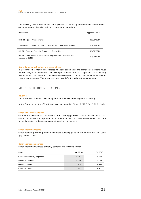The following new provisions are not applicable to the Group and therefore have no effect on its net assets, financial position, or results of operations:

| Description                                                                          | Applicable as of |
|--------------------------------------------------------------------------------------|------------------|
| IFRS 11 - Joint Arrangements                                                         | 01/01/2014       |
| Amendments of IFRS 10, IFRS 12, and IAS 27 - Investment Entities                     | 01/01/2014       |
| IAS 27 - Separate Financial Statements (revised 2011)                                | 01/01/2014       |
| IAS 28 - Investments in Associated Companies and Joint Ventures<br>(revised in 2011) | 01/01/2014       |

#### Key judgments, estimates, and assumptions

In preparing the interim consolidated financial statements, the Management Board must perform judgments, estimates, and assumptions which affect the application of accounting policies within the Group and influence the recognition of assets and liabilities as well as income and expenses. The actual amounts may differ from the estimated amounts.

#### NOTES TO THE INCOME STATEMENT

#### Revenue

The breakdown of Group revenue by location is shown in the segment reporting.

In the first nine months of 2014, tool sales amounted to EURk 19,227 (p/y: EURk 21,100).

#### Other own work capitalized

Own work capitalized is comprised of EURk 748 (p/y: EURk 780) of development costs subject to mandatory capitalization according to IAS 38. These development costs are primarily related to the development of steering components.

#### Other operating income

Other operating income primarily comprises currency gains in the amount of EURk 3,994 (p/y: EURk 1,771).

#### Other operating expenses

Other operating expenses primarily comprise the following items:

| <b>EURK</b>                   | 9M 2014 | 9M 2013 |
|-------------------------------|---------|---------|
| Costs for temporary employees | 9,782   | 8,466   |
| Maintenance costs             | 4,048   | 4,184   |
| Outgoing freight              | 2,430   | 2,635   |
| <b>Currency losses</b>        | 2,763   | 1,811   |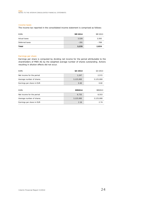#### Income taxes

The income tax reported in the consolidated income statement is comprised as follows:

| <b>EURK</b>    | 9M 2014 | 9M 2013 |
|----------------|---------|---------|
| Actual taxes   | 3,526   | 3,593   |
| Deferred taxes | $-291$  | $-769$  |
| Total          | 3,235   | 2,824   |

#### Earnings per share

Earnings per share is computed by dividing net income for the period attributable to the shareholders of PWO AG by the weighted average number of shares outstanding. Actions resulting in dilution effects did not occur.

| <b>EURK</b>               | Q3 2014   | Q3 2013   |
|---------------------------|-----------|-----------|
| Net income for the period | 1,247     | 2,572     |
| Average number of shares  | 3,125,000 | 3,125,000 |
| Earnings per share in EUR | 0.40      | 0.82      |
|                           |           |           |
|                           |           |           |
| <b>EURK</b>               | 9M2014    | 9M2013    |
| Net income for the period | 6,735     | 8,553     |
| Average number of shares  | 3,125,000 | 3,125,000 |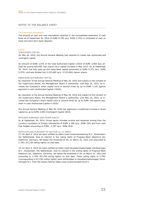## NOTES TO THE BALANCE SHEET

#### Cash and cash equivalents

The amount of cash and cash equivalents reported in the consolidated statement of cash flows as of September 30, 2014 of EURk 6,795 (p/y: EURk 3,753) is composed of cash on hand and short-term bank deposits.

#### Equity

#### SUBSCRIBED CAPITAL

On May 26, 2010, the Annual General Meeting had resolved to create new authorized and contingent capital.

An amount of EURk 1,875 of the total Authorized Capital I/2010 of EURk 3,000 was utilized by issuing 625,000 new shares via a capital increase in May 2012. As at September 30, 2014, the fully paid-up and subscribed capital amounted to EURk 9,375 (p/y: EURk 9,375), and was divided into 3,125,000 (p/y: 3,125,000) bearer shares.

#### REMAINING AUTHORIZED CAPITAL

By resolution of the Annual General Meeting of May 26, 2010 and subject to the consent of the Supervisory Board, the Management Board is authorized, until May 25, 2015, to increase the Company's share capital once or several times by up to EURk 1,125 against payment in cash (Authorized Capital I/2010).

By resolution of the Annual General Meeting of May 26, 2010 and subject to the consent of the Supervisory Board, the Management Board is authorized, until May 25, 2015, to increase the Company's share capital once or several times by up to EURk 750 against payment in cash (Authorized Capital II/2010).

The Annual General Meeting of May 26, 2010 has approved a conditional increase in share capital by up to EURk 3,000 (Contingent Capital 2010).

#### RETAINED EARNINGS AND OTHER EQUITY

As at September 30, 2014, Group equity included income and expenses arising from the currency translation of foreign subsidiaries of EURk 2,198 (p/y: EURk 534) and from cash flow hedges amounting to EURk –1,297 (p/y: EURk 454).

#### NOTIFICATIONS PURSUANT TO SECTION 21 (1) WPHG

(1) On April 4, 2014 we were notified by Delta Lloyd Levensverzekering N.V., Amsterdam, the Netherlands, that its interest in the voting rights of Progress-Werk Oberkirch AG, Oberkirch, Germany, fell below the threshold of 3% on March 31, 2014 and amounted to 2.79% (87,230 voting rights) on that date.

(2) On April 4, 2014 we were notified by Delta Lloyd Houdstermaatschappij Verzekeringen N.V., Amsterdam, the Netherlands, that its interest in the voting rights of Progress-Werk Oberkirch AG, Oberkirch, Germany, fell below the threshold of 3% on March 31, 2014 and amounted to 2.79% (87,230 voting rights) on that date. These voting rights of 2.79% (corresponding to 87,230 voting rights) were attributable to Houdstermaatschappij Verzekeringen N.V. from the shares held by Delta Lloyd Levensverzekering N.V.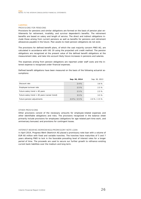#### Liabilities

#### PROVISIONS FOR PENSIONS

Provisions for pensions and similar obligations are formed on the basis of pension plan entitlements for retirement, invalidity, and survivor dependent's benefits. The retirement benefits are based on salary and length of service. The direct and indirect obligations include those arising from current pensions as well as benefits for pensions and retirement allowances payable in the future. Plan assets to meet pension obligations do not exist.

The provisions for defined benefit plans, of which the vast majority concern PWO AG, are calculated in accordance with IAS 19 using the projected unit credit method. The pension obligations are recognized at the present value of the defined benefit obligations at the measurement date, and take into account likely future increases in pensions and salaries.

The expenses arising from pension obligations are reported under staff costs and the interest expense is recognized under financial expenses.

Defined benefit obligations have been measured on the basis of the following actuarial assumptions:

|                                                 | Sep. 30, 2014   | Sep. 30, 2013   |
|-------------------------------------------------|-----------------|-----------------|
| Discount rate                                   | 2.4%            | 3.6%            |
| Employee turnover rate                          | 2.5%            | 2.5%            |
| Future salary trend $>$ 40 years                | 2.5%            | 2.5%            |
| Future salary trend $<$ 40 years (career trend) | 3.5%            | 3.5%            |
| Future pension adjustments                      | $2.0\%$ / 2.5 % | $2.0\%$ / 2.5 % |

#### OTHER PROVISIONS

Other provisions consist of the necessary amounts for employee-related expenses and other identifiable obligations and risks. The provisions recognized in the balance sheet primarily include provisions for employees (obligations for age-related part-time work, and anniversary bonuses) and provisions for contingent losses.

#### INTEREST-BEARING BORROWINGS/PROMISSORY NOTE LOAN

In April 2014, Progress-Werk Oberkirch AG placed a promissory note loan with a volume of EUR 60 million with fixed and variable tranches. The tranches have maturities of 5 and 7 years allowing PWO to lock in the favorable prevailing level of interest rates for a longer period of time. The proceeds are used to secure our further growth to refinance existing current bank liabilities over the medium and long term.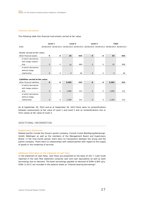#### Financial instruments

The following table lists financial instruments carried at fair value:

|                                    | Level 1        |              | Level <sub>2</sub> |     | Level 3                                                                                 |              | <b>Total</b> |     |
|------------------------------------|----------------|--------------|--------------------|-----|-----------------------------------------------------------------------------------------|--------------|--------------|-----|
| <b>EURK</b>                        |                |              |                    |     | 30/09/2014 30/09/2013 30/09/2014 30/09/2013 30/09/2014 30/09/2013 30/09/2014 30/09/2013 |              |              |     |
|                                    |                |              |                    |     |                                                                                         |              |              |     |
| Assets carried at fair value:      |                |              |                    |     |                                                                                         |              |              |     |
| Other financial assets             | 0              | $\mathbf{o}$ | 35                 | 935 | $\mathbf{o}$                                                                            | $\mathbf{o}$ | 35           | 935 |
| of which derivatives               |                |              |                    |     |                                                                                         |              |              |     |
| with hedge relation-               |                |              |                    |     |                                                                                         |              |              |     |
| ship                               | $\overline{O}$ | $\Omega$     | 35                 | 869 | $\Omega$                                                                                | $\mathbf 0$  | 35           | 869 |
| of which derivatives               |                |              |                    |     |                                                                                         |              |              |     |
| without hedge                      |                |              |                    |     |                                                                                         |              |              |     |
| relationship                       | $\mathbf{O}$   | $\mathbf 0$  | $\mathbf{0}$       | 66  | $\mathbf{O}$                                                                            | $\mathbf 0$  | $\Omega$     | 66  |
|                                    |                |              |                    |     |                                                                                         |              |              |     |
| Liabilities carried at fair value: |                |              |                    |     |                                                                                         |              |              |     |
| Other financial liabilities        | $\mathbf{o}$   | 0            | 3,283              | 533 | $\Omega$                                                                                | $\mathbf 0$  | 3,283        | 533 |
| of which derivatives               |                |              |                    |     |                                                                                         |              |              |     |
| with hedge relation-               |                |              |                    |     |                                                                                         |              |              |     |
| ship                               | $\Omega$       | $\mathbf 0$  | 1,890              | 312 | $\mathbf{O}$                                                                            | $\mathbf 0$  | 1,890        | 312 |
| of which derivatives               |                |              |                    |     |                                                                                         |              |              |     |
| without hedge                      |                |              |                    |     |                                                                                         |              |              |     |
| relationship                       | $\mathbf{O}$   | 0            | 1,393              | 221 | $\mathbf{0}$                                                                            | 0            | 1,393        | 221 |
|                                    |                |              |                    |     |                                                                                         |              |              |     |

As at September 30, 2014 and as at September 30, 2013 there were no reclassifications between assessments at fair value of Level 1 and Level 2 and no reclassifications into or from values at fair value of Level 3.

## ADDITIONAL INFORMATION

#### Related party disclosures

Related parties include the Group's parent company, Consult Invest Beteiligungsberatungs-GmbH, Böblingen as well as the members of the Management Board and Supervisory Board. In the nine-month period, there were no transactions between the Group and the parent company. There were no relationships with related parties with regard to the supply of goods or the rendering of services.

#### Additional information on the statement of cash flows

In the statement of cash flows, cash flows are presented on the basis of IAS 7. Cash funds reported in the cash flow statement comprise cash and cash equivalents as well as bank borrowings due on demand. The bank borrowings payable on demand of EURk 6,854 (p/y: EURk 11,617) are included in the balance sheet as "interest-bearing borrowings".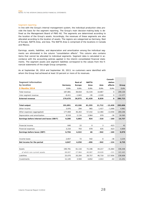#### Segment reporting

In line with the Group's internal management system, the individual production sites provide the basis for the segment reporting. The Group's main decision-making body is defined as the Management Board of PWO AG. The segments are determined according to the location of the Group's assets. Accordingly, the revenues of these segments are also allocated according to the location of assets. The regions are categorized as Germany, Rest of Europe, NAFTA Area, and Asia. The NAFTA Area is comprised of the locations in Canada and Mexico.

Earnings, assets, liabilities, and depreciation and amortization among the individual segments are eliminated in the column "consolidation effects". This column also contains items that cannot be allocated to individual segments. Segment data is calculated in accordance with the accounting policies applied in the interim consolidated financial statements. The segment assets and segment liabilities correspond to the values from the financial statements of the single Group companies.

As at September 30, 2014 and September 30, 2013, no customers were identified with whom the Group had achieved at least 10 percent or more of its revenues.

|                                           |             |                |              |             | Consoli-     |             |
|-------------------------------------------|-------------|----------------|--------------|-------------|--------------|-------------|
| Segment information                       |             | <b>Rest of</b> | <b>NAFTA</b> |             | dation       |             |
| by location                               | Germany     | Europe         | Area         | Asia        | effects      | Group       |
| <b>9 Months 2014</b>                      | <b>EURK</b> | <b>EURK</b>    | <b>EURK</b>  | <b>EURK</b> | <b>EURK</b>  | <b>EURK</b> |
| Total revenue                             | 187,881     | 38,818         | 61,534       | 10,867      | $\mathsf{O}$ | 299,100     |
| Inter-segment revenue                     | $-8,411$    | $-1,843$       | $-95$        | $-2,028$    | 0            | $-12,377$   |
| <b>External revenue</b>                   | 179,470     | 36,975         | 61,439       | 8,839       | O            | 286,723     |
|                                           |             |                |              |             |              |             |
| <b>Total output</b>                       | 191,891     | 43,106         | 61,355       | 11,712      | $-12,458$    | 295,606     |
| Other income                              | 3,976       | 294            | 965          | 1,417       | $-1,690$     | 4,962       |
| Other expenses (aggregated)               | 177,069     | 36,263         | 57,432       | 12,460      | $-13,958$    | 269,266     |
| Depreciation and amortization             | 9,518       | 2,134          | 3,964        | 979         | $-30$        | 16,565      |
| Earnings before interest and taxes (EBIT) | 9,280       | 5,003          | 924          | $-310$      | $-160$       | 14,737      |
|                                           |             |                |              |             |              |             |
| Financial income                          | 640         | 22             | $\mathbf 0$  | 3           | $-623$       | 42          |
| Financial expenses                        | 3,216       | 703            | 878          | 635         | $-623$       | 4,809       |
| Earnings before taxes (EBT)               | 6,704       | 4,322          | 46           | $-942$      | $-160$       | 9,970       |
|                                           |             |                |              |             |              |             |
| Income taxes                              | 2,657       | 72             | 542          | $\mathbf 0$ | $-36$        | 3,235       |
| Net income for the period                 | 4.047       | 4,250          | $-496$       | $-942$      | $-124$       | 6,735       |
|                                           |             |                |              |             |              |             |
| Assets                                    | 190,781     | 61,116         | 72,196       | 44,217      | $-31,864$    | 336,446     |
| of which non-current assets               | 69,007      | 27,964         | 40,087       | 28,628      | $-221$       | 165,465     |
| Liabilities                               | 25,070      | 20,204         | 28,757       | 46,719      | 117,856      | 238,606     |
| Investments                               | 11,145      | 3,504          | 4,652        | 2,013       | $-63$        | 21,251      |
|                                           |             |                |              |             |              |             |

**College**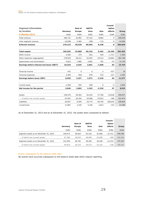|                                           |             |             |              |                | Consoli-     |             |
|-------------------------------------------|-------------|-------------|--------------|----------------|--------------|-------------|
| Segment information                       |             | Rest of     | <b>NAFTA</b> |                | dation       |             |
| by location                               | Germany     | Europe      | Area         | Asia           | effects      | Group       |
| <b>9 Months 2013</b>                      | <b>EURK</b> | <b>EURK</b> | <b>EURK</b>  | <b>EURK</b>    | <b>EURK</b>  | <b>EURK</b> |
| Total revenue                             | 189,731     | 33,901      | 67,152       | 8,862          | $\mathsf{O}$ | 299,646     |
| Inter-segment revenue                     | $-10,608$   | $-3,462$    | $-208$       | $-714$         | 0            | $-14,992$   |
| <b>External revenue</b>                   | 179,123     | 30,439      | 66,944       | 8,148          | 0            | 284,654     |
|                                           |             |             |              |                |              |             |
| <b>Total output</b>                       | 195,202     | 33,968      | 69,135       | 9,102          | $-15,105$    | 292,302     |
| Other income                              | 2,920       | 375         | 812          | 554            | $-1,717$     | 2,944       |
| Other expenses (aggregated)               | 178,876     | 28,213      | 63,025       | 10,513         | $-16,861$    | 263,766     |
| Depreciation and amortization             | 9,022       | 1,885       | 4,081        | 791            | $-53$        | 15,726      |
| Earnings before interest and taxes (EBIT) | 10,224      | 4,245       | 2,841        | $-1,648$       | 92           | 15,754      |
|                                           |             |             |              |                |              |             |
| Financial income                          | 431         | $\Omega$    | $\Omega$     | $\overline{2}$ | $-417$       | 16          |
| Financial expenses                        | 2,450       | 918         | 870          | 572            | $-417$       | 4,393       |
| Earnings before taxes (EBT)               | 8,205       | 3,327       | 1,971        | $-2,218$       | 92           | 11,377      |
|                                           |             |             |              |                |              |             |
| Income taxes                              | 2,556       | $-355$      | 628          | $\Omega$       | $-5$         | 2,824       |
| Net income for the period                 | 5,649       | 3,682       | 1,343        | $-2,218$       | 97           | 8,553       |
|                                           |             |             |              |                |              |             |
| Assets                                    | 159,479     | 49.362      | 63,343       | 37.769         | $-10.916$    | 299,037     |
| of which non-current assets               | 67,007      | 26,354      | 34,586       | 24,912         | $-185$       | 152,674     |
| Liabilities                               | 26,927      | 8,505       | 16,773       | 40,745         | 106,915      | 199,865     |
| Investments                               | 11,867      | 2,435       | 5,326        | 2,613          | $-151$       | 22,090      |

As at December 31, 2013 and as at December 31, 2012, the assets were composed as follows:

|                                        |             |                |              |             | Consoli-    |             |
|----------------------------------------|-------------|----------------|--------------|-------------|-------------|-------------|
|                                        |             | <b>Rest of</b> | <b>NAFTA</b> |             | dation      |             |
|                                        | Germany     | Europe         | Area         | Asia        | effects     | Group       |
|                                        | <b>EURK</b> | <b>EURK</b>    | <b>EURK</b>  | <b>EURK</b> | <b>EURK</b> | <b>EURK</b> |
| Segment assets as at December 31, 2013 | 159.472     | 50.622         | 63.155       | 41.856      | $-15.721$   | 299,384     |
| of which non-current assets            | 67.382      | 26.632         | 36,850       | 25.609      | $-189$      | 156.284     |
| Segment assets as at December 31, 2012 | 151.055     | 46.761         | 59.265       | 34,436      | $-12.214$   | 279,303     |
| of which non-current assets            | 64.614      | 26.133         | 34,573       | 23.225      | $-238$      | 148,307     |

## Events subsequent to the balance sheet date

No events have occurred subsequent to the balance sheet date which require reporting.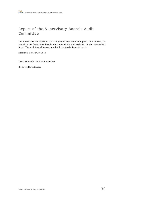# Report of the Supervisory Board's Audit Committee

The interim financial report for the third quarter and nine-month period of 2014 was presented to the Supervisory Board's Audit Committee, and explained by the Management Board. The Audit Committee concurred with the interim financial report.

Oberkirch, October 28, 2014

The Chairman of the Audit Committee

Dr. Georg Hengstberger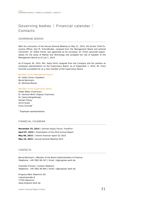# Governing bodies | Financial calendar | Contacts

## GOVERNING BODIES

With the conclusion of the Annual General Meeting on May 21, 2014, the former Chief Executive Officer, Karl M. Schmidhuber, resigned from the Management Board and entered retirement. Dr. Volker Simon was appointed as his successor. Dr. Simon assumed responsibility for the areas of Market and Technology and accepted the role of Speaker of the Management Board as of July 1, 2014.

As of August 30, 2014, Mrs. Katja Ulrich resigned from the Company and her position as employee representative on the Supervisory Board. As of September 1, 2014, Mr. Franz Schmidt succeeded her as a new member of the Supervisory Board.

#### Members of the Management Board

Dr. Volker Simon (Speaker) Bernd Bartmann Dr. Winfried Blümel

#### Members of the Supervisory Board

Dieter Maier (Chairman) Dr. Gerhard Wirth (Deputy Chairman) Dr. Georg Hengstberger Herbert König Ulrich Ruetz Franz Schmidt \*

\* Employee representatives

## FINANCIAL CALENDAR

**November 25, 2014** | German Equity Forum, Frankfurt **April 07, 2015** | Presentation of the 2014 Annual Report **May 06, 2015** | Interim financial report Q1 2015 **May 19, 2015** | Annual General Meeting 2015

## CONTACTS

Bernd Bartmann | Member of the Board (Administration & Finance) Telephone: +49 7802 84-347 | Email: ir@progress-werk.de

Charlotte Frenzel | Investor Relations Telephone: +49 7802 84-844 | Email: ir@progress-werk.de

Progress-Werk Oberkirch AG Industriestraße 8 77704 Oberkirch www.progress-werk.de